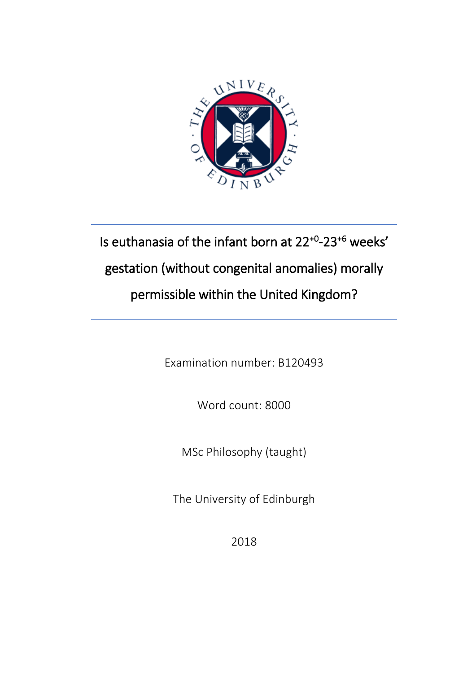

# Is euthanasia of the infant born at 22+0 -23+6 weeks' gestation (without congenital anomalies) morally permissible within the United Kingdom?

Examination number: B120493

Word count: 8000

MSc Philosophy (taught)

The University of Edinburgh

2018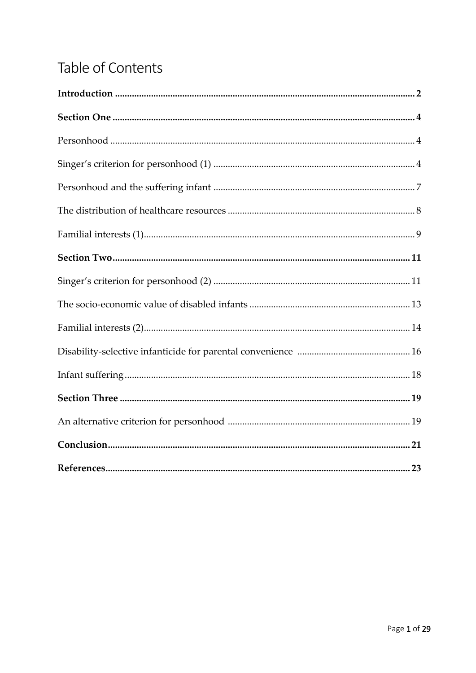## Table of Contents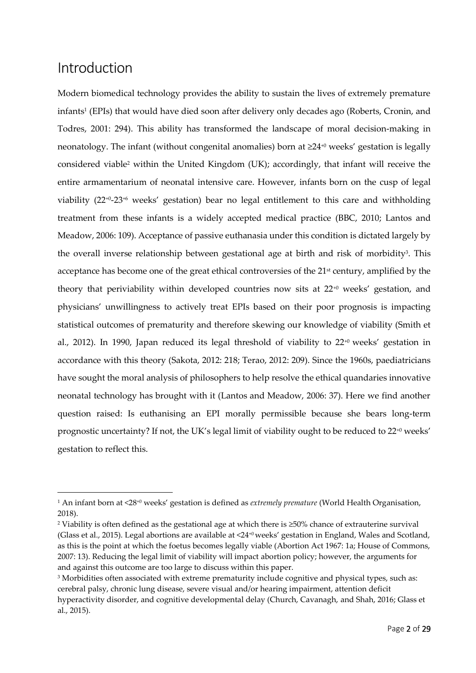### Introduction

**.** 

Modern biomedical technology provides the ability to sustain the lives of extremely premature infants<sup>1</sup> (EPIs) that would have died soon after delivery only decades ago (Roberts, Cronin, and Todres, 2001: 294). This ability has transformed the landscape of moral decision-making in neonatology. The infant (without congenital anomalies) born at ≥24<sup>+0</sup> weeks' gestation is legally considered viable<sup>2</sup> within the United Kingdom (UK); accordingly, that infant will receive the entire armamentarium of neonatal intensive care. However, infants born on the cusp of legal viability (22+0-23+6 weeks' gestation) bear no legal entitlement to this care and withholding treatment from these infants is a widely accepted medical practice (BBC, 2010; Lantos and Meadow, 2006: 109). Acceptance of passive euthanasia under this condition is dictated largely by the overall inverse relationship between gestational age at birth and risk of morbidity<sup>3</sup>. This acceptance has become one of the great ethical controversies of the 21<sup>st</sup> century, amplified by the theory that periviability within developed countries now sits at 22+0 weeks' gestation, and physicians' unwillingness to actively treat EPIs based on their poor prognosis is impacting statistical outcomes of prematurity and therefore skewing our knowledge of viability (Smith et al., 2012). In 1990, Japan reduced its legal threshold of viability to  $22^{+0}$  weeks' gestation in accordance with this theory (Sakota, 2012: 218; Terao, 2012: 209). Since the 1960s, paediatricians have sought the moral analysis of philosophers to help resolve the ethical quandaries innovative neonatal technology has brought with it (Lantos and Meadow, 2006: 37). Here we find another question raised: Is euthanising an EPI morally permissible because she bears long-term prognostic uncertainty? If not, the UK's legal limit of viability ought to be reduced to 22+0 weeks' gestation to reflect this.

<sup>1</sup> An infant born at <28+0 weeks' gestation is defined as *extremely premature* (World Health Organisation, 2018).

<sup>2</sup> Viability is often defined as the gestational age at which there is ≥50% chance of extrauterine survival (Glass et al., 2015). Legal abortions are available at <24+0 weeks' gestation in England, Wales and Scotland, as this is the point at which the foetus becomes legally viable (Abortion Act 1967: 1a; House of Commons, 2007: 13). Reducing the legal limit of viability will impact abortion policy; however, the arguments for and against this outcome are too large to discuss within this paper.

<sup>&</sup>lt;sup>3</sup> Morbidities often associated with extreme prematurity include cognitive and physical types, such as: cerebral palsy, chronic lung disease, severe visual and/or hearing impairment, attention deficit hyperactivity disorder, and cognitive developmental delay (Church, Cavanagh, and Shah, 2016; Glass et al., 2015).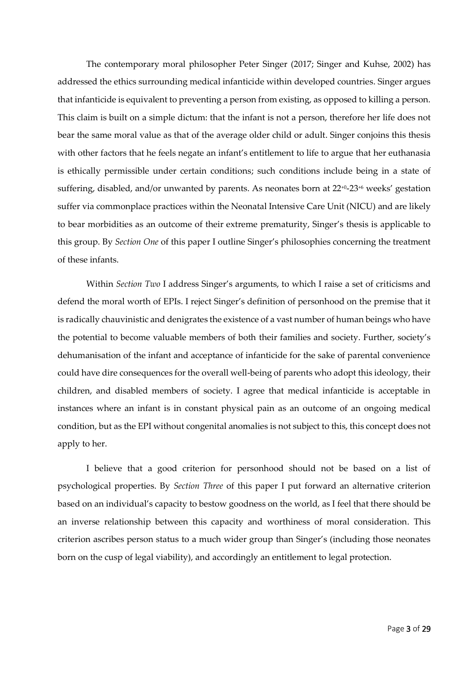The contemporary moral philosopher Peter Singer (2017; Singer and Kuhse, 2002) has addressed the ethics surrounding medical infanticide within developed countries. Singer argues that infanticide is equivalent to preventing a person from existing, as opposed to killing a person. This claim is built on a simple dictum: that the infant is not a person, therefore her life does not bear the same moral value as that of the average older child or adult. Singer conjoins this thesis with other factors that he feels negate an infant's entitlement to life to argue that her euthanasia is ethically permissible under certain conditions; such conditions include being in a state of suffering, disabled, and/or unwanted by parents. As neonates born at  $22^{+0}$ - $23^{+6}$  weeks' gestation suffer via commonplace practices within the Neonatal Intensive Care Unit (NICU) and are likely to bear morbidities as an outcome of their extreme prematurity, Singer's thesis is applicable to this group. By *Section One* of this paper I outline Singer's philosophies concerning the treatment of these infants.

Within *Section Two* I address Singer's arguments, to which I raise a set of criticisms and defend the moral worth of EPIs. I reject Singer's definition of personhood on the premise that it is radically chauvinistic and denigrates the existence of a vast number of human beings who have the potential to become valuable members of both their families and society. Further, society's dehumanisation of the infant and acceptance of infanticide for the sake of parental convenience could have dire consequences for the overall well-being of parents who adopt this ideology, their children, and disabled members of society. I agree that medical infanticide is acceptable in instances where an infant is in constant physical pain as an outcome of an ongoing medical condition, but as the EPI without congenital anomalies is not subject to this, this concept does not apply to her.

I believe that a good criterion for personhood should not be based on a list of psychological properties. By *Section Three* of this paper I put forward an alternative criterion based on an individual's capacity to bestow goodness on the world, as I feel that there should be an inverse relationship between this capacity and worthiness of moral consideration. This criterion ascribes person status to a much wider group than Singer's (including those neonates born on the cusp of legal viability), and accordingly an entitlement to legal protection.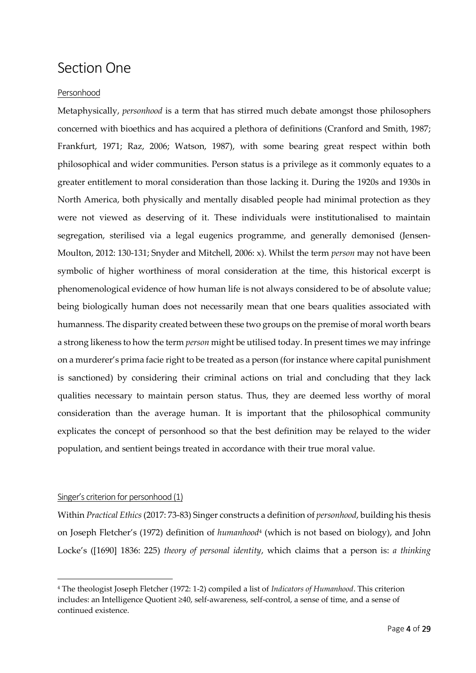### Section One

#### Personhood

Metaphysically, *personhood* is a term that has stirred much debate amongst those philosophers concerned with bioethics and has acquired a plethora of definitions (Cranford and Smith, 1987; Frankfurt, 1971; Raz, 2006; Watson, 1987), with some bearing great respect within both philosophical and wider communities. Person status is a privilege as it commonly equates to a greater entitlement to moral consideration than those lacking it. During the 1920s and 1930s in North America, both physically and mentally disabled people had minimal protection as they were not viewed as deserving of it. These individuals were institutionalised to maintain segregation, sterilised via a legal eugenics programme, and generally demonised (Jensen-Moulton, 2012: 130-131; Snyder and Mitchell, 2006: x). Whilst the term *person* may not have been symbolic of higher worthiness of moral consideration at the time, this historical excerpt is phenomenological evidence of how human life is not always considered to be of absolute value; being biologically human does not necessarily mean that one bears qualities associated with humanness. The disparity created between these two groups on the premise of moral worth bears a strong likeness to how the term *person* might be utilised today. In present times we may infringe on a murderer's prima facie right to be treated as a person (for instance where capital punishment is sanctioned) by considering their criminal actions on trial and concluding that they lack qualities necessary to maintain person status. Thus, they are deemed less worthy of moral consideration than the average human. It is important that the philosophical community explicates the concept of personhood so that the best definition may be relayed to the wider population, and sentient beings treated in accordance with their true moral value.

#### Singer's criterion for personhood (1)

**.** 

Within *Practical Ethics* (2017: 73-83) Singer constructs a definition of *personhood*, building his thesis on Joseph Fletcher's (1972) definition of *humanhood<sup>4</sup>* (which is not based on biology), and John Locke's ([1690] 1836: 225) *theory of personal identity*, which claims that a person is: *a thinking* 

<sup>4</sup> The theologist Joseph Fletcher (1972: 1-2) compiled a list of *Indicators of Humanhood*. This criterion includes: an Intelligence Quotient ≥40, self-awareness, self-control, a sense of time, and a sense of continued existence.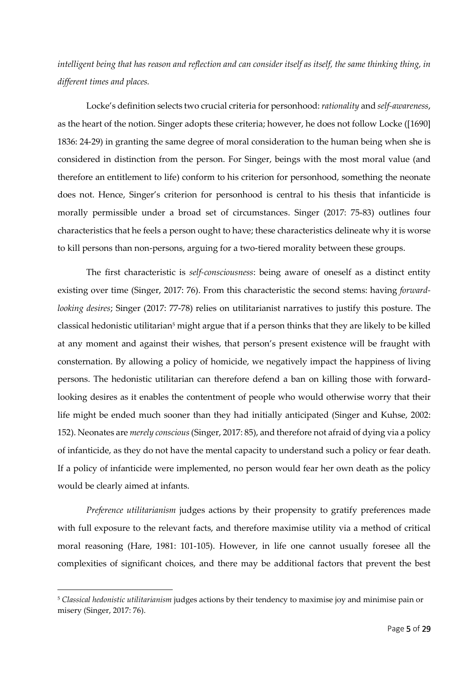*intelligent being that has reason and reflection and can consider itself as itself, the same thinking thing, in different times and places.*

Locke's definition selects two crucial criteria for personhood: *rationality* and *self-awareness*, as the heart of the notion. Singer adopts these criteria; however, he does not follow Locke ([1690] 1836: 24-29) in granting the same degree of moral consideration to the human being when she is considered in distinction from the person. For Singer, beings with the most moral value (and therefore an entitlement to life) conform to his criterion for personhood, something the neonate does not. Hence, Singer's criterion for personhood is central to his thesis that infanticide is morally permissible under a broad set of circumstances. Singer (2017: 75-83) outlines four characteristics that he feels a person ought to have; these characteristics delineate why it is worse to kill persons than non-persons, arguing for a two-tiered morality between these groups.

The first characteristic is *self-consciousness*: being aware of oneself as a distinct entity existing over time (Singer, 2017: 76). From this characteristic the second stems: having *forwardlooking desires*; Singer (2017: 77-78) relies on utilitarianist narratives to justify this posture. The classical hedonistic utilitarian<sup>5</sup> might argue that if a person thinks that they are likely to be killed at any moment and against their wishes, that person's present existence will be fraught with consternation. By allowing a policy of homicide, we negatively impact the happiness of living persons. The hedonistic utilitarian can therefore defend a ban on killing those with forwardlooking desires as it enables the contentment of people who would otherwise worry that their life might be ended much sooner than they had initially anticipated (Singer and Kuhse, 2002: 152). Neonates are *merely conscious*(Singer, 2017: 85), and therefore not afraid of dying via a policy of infanticide, as they do not have the mental capacity to understand such a policy or fear death. If a policy of infanticide were implemented, no person would fear her own death as the policy would be clearly aimed at infants.

*Preference utilitarianism* judges actions by their propensity to gratify preferences made with full exposure to the relevant facts, and therefore maximise utility via a method of critical moral reasoning (Hare, 1981: 101-105). However, in life one cannot usually foresee all the complexities of significant choices, and there may be additional factors that prevent the best

**.** 

<sup>5</sup> *Classical hedonistic utilitarianism* judges actions by their tendency to maximise joy and minimise pain or misery (Singer, 2017: 76).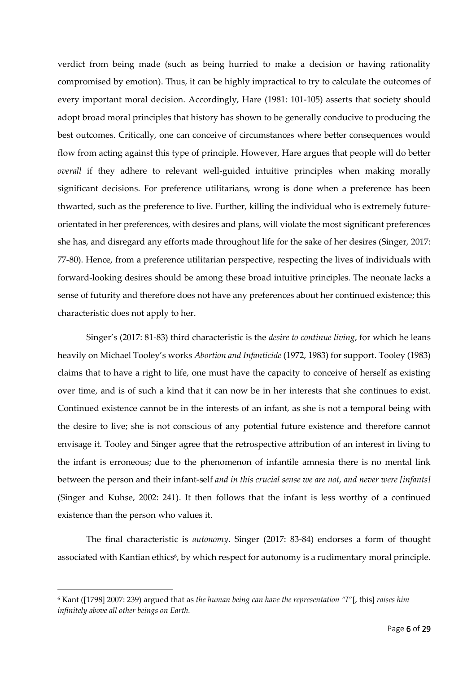verdict from being made (such as being hurried to make a decision or having rationality compromised by emotion). Thus, it can be highly impractical to try to calculate the outcomes of every important moral decision. Accordingly, Hare (1981: 101-105) asserts that society should adopt broad moral principles that history has shown to be generally conducive to producing the best outcomes. Critically, one can conceive of circumstances where better consequences would flow from acting against this type of principle. However, Hare argues that people will do better *overall* if they adhere to relevant well-guided intuitive principles when making morally significant decisions. For preference utilitarians, wrong is done when a preference has been thwarted, such as the preference to live. Further, killing the individual who is extremely futureorientated in her preferences, with desires and plans, will violate the most significant preferences she has, and disregard any efforts made throughout life for the sake of her desires (Singer, 2017: 77-80). Hence, from a preference utilitarian perspective, respecting the lives of individuals with forward-looking desires should be among these broad intuitive principles. The neonate lacks a sense of futurity and therefore does not have any preferences about her continued existence; this characteristic does not apply to her.

Singer's (2017: 81-83) third characteristic is the *desire to continue living*, for which he leans heavily on Michael Tooley's works *Abortion and Infanticide* (1972, 1983) for support. Tooley (1983) claims that to have a right to life, one must have the capacity to conceive of herself as existing over time, and is of such a kind that it can now be in her interests that she continues to exist. Continued existence cannot be in the interests of an infant, as she is not a temporal being with the desire to live; she is not conscious of any potential future existence and therefore cannot envisage it. Tooley and Singer agree that the retrospective attribution of an interest in living to the infant is erroneous; due to the phenomenon of infantile amnesia there is no mental link between the person and their infant-self *and in this crucial sense we are not, and never were [infants]*  (Singer and Kuhse, 2002: 241). It then follows that the infant is less worthy of a continued existence than the person who values it.

The final characteristic is *autonomy*. Singer (2017: 83-84) endorses a form of thought associated with Kantian ethics<sup>6</sup>, by which respect for autonomy is a rudimentary moral principle.

**.** 

<sup>6</sup> Kant ([1798] 2007: 239) argued that as *the human being can have the representation "I"*[, this] *raises him infinitely above all other beings on Earth.*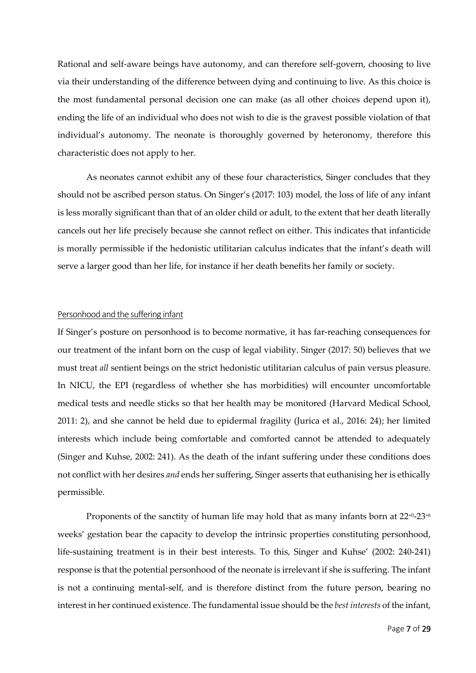Rational and self-aware beings have autonomy, and can therefore self-govern, choosing to live via their understanding of the difference between dying and continuing to live. As this choice is the most fundamental personal decision one can make (as all other choices depend upon it), ending the life of an individual who does not wish to die is the gravest possible violation of that individual's autonomy. The neonate is thoroughly governed by heteronomy, therefore this characteristic does not apply to her.

As neonates cannot exhibit any of these four characteristics, Singer concludes that they should not be ascribed person status. On Singer's (2017: 103) model, the loss of life of any infant is less morally significant than that of an older child or adult, to the extent that her death literally cancels out her life precisely because she cannot reflect on either. This indicates that infanticide is morally permissible if the hedonistic utilitarian calculus indicates that the infant's death will serve a larger good than her life, for instance if her death benefits her family or society.

#### Personhood and the suffering infant

If Singer's posture on personhood is to become normative, it has far-reaching consequences for our treatment of the infant born on the cusp of legal viability. Singer (2017: 50) believes that we must treat *all* sentient beings on the strict hedonistic utilitarian calculus of pain versus pleasure. In NICU, the EPI (regardless of whether she has morbidities) will encounter uncomfortable medical tests and needle sticks so that her health may be monitored (Harvard Medical School, 2011: 2), and she cannot be held due to epidermal fragility (Jurica et al., 2016: 24); her limited interests which include being comfortable and comforted cannot be attended to adequately (Singer and Kuhse, 2002: 241). As the death of the infant suffering under these conditions does not conflict with her desires *and* ends her suffering, Singer asserts that euthanising her is ethically permissible.

Proponents of the sanctity of human life may hold that as many infants born at  $22^{+0}$ -23<sup>+6</sup> weeks' gestation bear the capacity to develop the intrinsic properties constituting personhood, life-sustaining treatment is in their best interests. To this, Singer and Kuhse' (2002: 240-241) response is that the potential personhood of the neonate is irrelevant if she is suffering. The infant is not a continuing mental-self, and is therefore distinct from the future person, bearing no interest in her continued existence. The fundamental issue should be the *best interests* of the infant,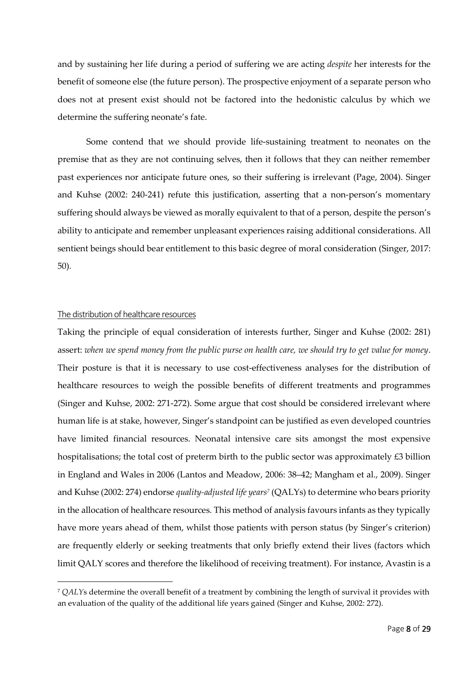and by sustaining her life during a period of suffering we are acting *despite* her interests for the benefit of someone else (the future person). The prospective enjoyment of a separate person who does not at present exist should not be factored into the hedonistic calculus by which we determine the suffering neonate's fate.

Some contend that we should provide life-sustaining treatment to neonates on the premise that as they are not continuing selves, then it follows that they can neither remember past experiences nor anticipate future ones, so their suffering is irrelevant (Page, 2004). Singer and Kuhse (2002: 240-241) refute this justification, asserting that a non-person's momentary suffering should always be viewed as morally equivalent to that of a person, despite the person's ability to anticipate and remember unpleasant experiences raising additional considerations. All sentient beings should bear entitlement to this basic degree of moral consideration (Singer, 2017: 50)*.*

#### The distribution of healthcare resources

 $\overline{a}$ 

Taking the principle of equal consideration of interests further, Singer and Kuhse (2002: 281) assert: *when we spend money from the public purse on health care, we should try to get value for money*. Their posture is that it is necessary to use cost-effectiveness analyses for the distribution of healthcare resources to weigh the possible benefits of different treatments and programmes (Singer and Kuhse, 2002: 271-272). Some argue that cost should be considered irrelevant where human life is at stake, however, Singer's standpoint can be justified as even developed countries have limited financial resources. Neonatal intensive care sits amongst the most expensive hospitalisations; the total cost of preterm birth to the public sector was approximately £3 billion in England and Wales in 2006 (Lantos and Meadow, 2006: 38–42; Mangham et al., 2009). Singer and Kuhse (2002: 274) endorse *quality-adjusted life years<sup>7</sup>* (QALYs) to determine who bears priority in the allocation of healthcare resources. This method of analysis favours infants as they typically have more years ahead of them, whilst those patients with person status (by Singer's criterion) are frequently elderly or seeking treatments that only briefly extend their lives (factors which limit QALY scores and therefore the likelihood of receiving treatment). For instance, Avastin is a

<sup>7</sup> *QALY*s determine the overall benefit of a treatment by combining the length of survival it provides with an evaluation of the quality of the additional life years gained (Singer and Kuhse, 2002: 272).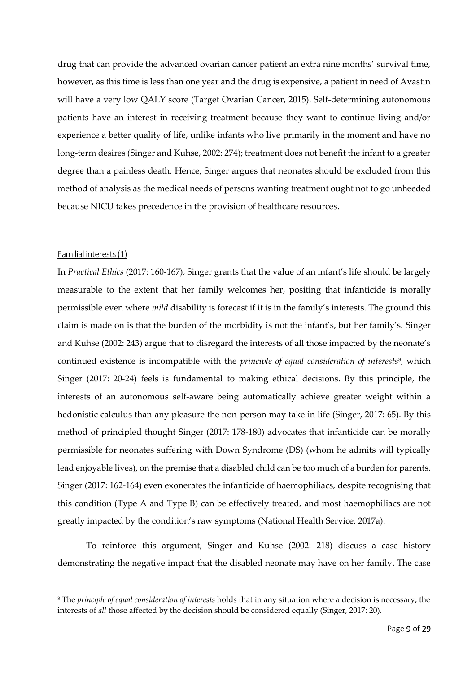drug that can provide the advanced ovarian cancer patient an extra nine months' survival time, however, as this time is less than one year and the drug is expensive, a patient in need of Avastin will have a very low QALY score (Target Ovarian Cancer, 2015). Self-determining autonomous patients have an interest in receiving treatment because they want to continue living and/or experience a better quality of life, unlike infants who live primarily in the moment and have no long-term desires (Singer and Kuhse, 2002: 274); treatment does not benefit the infant to a greater degree than a painless death. Hence, Singer argues that neonates should be excluded from this method of analysis as the medical needs of persons wanting treatment ought not to go unheeded because NICU takes precedence in the provision of healthcare resources.

#### Familial interests (1)

**.** 

In *Practical Ethics* (2017: 160-167), Singer grants that the value of an infant's life should be largely measurable to the extent that her family welcomes her, positing that infanticide is morally permissible even where *mild* disability is forecast if it is in the family's interests. The ground this claim is made on is that the burden of the morbidity is not the infant's, but her family's. Singer and Kuhse (2002: 243) argue that to disregard the interests of all those impacted by the neonate's continued existence is incompatible with the *principle of equal consideration of interests*<sup>8</sup> , which Singer (2017: 20-24) feels is fundamental to making ethical decisions. By this principle, the interests of an autonomous self-aware being automatically achieve greater weight within a hedonistic calculus than any pleasure the non-person may take in life (Singer, 2017: 65). By this method of principled thought Singer (2017: 178-180) advocates that infanticide can be morally permissible for neonates suffering with Down Syndrome (DS) (whom he admits will typically lead enjoyable lives), on the premise that a disabled child can be too much of a burden for parents. Singer (2017: 162-164) even exonerates the infanticide of haemophiliacs, despite recognising that this condition (Type A and Type B) can be effectively treated, and most haemophiliacs are not greatly impacted by the condition's raw symptoms (National Health Service, 2017a).

To reinforce this argument, Singer and Kuhse (2002: 218) discuss a case history demonstrating the negative impact that the disabled neonate may have on her family. The case

<sup>8</sup> The *principle of equal consideration of interests* holds that in any situation where a decision is necessary, the interests of *all* those affected by the decision should be considered equally (Singer, 2017: 20).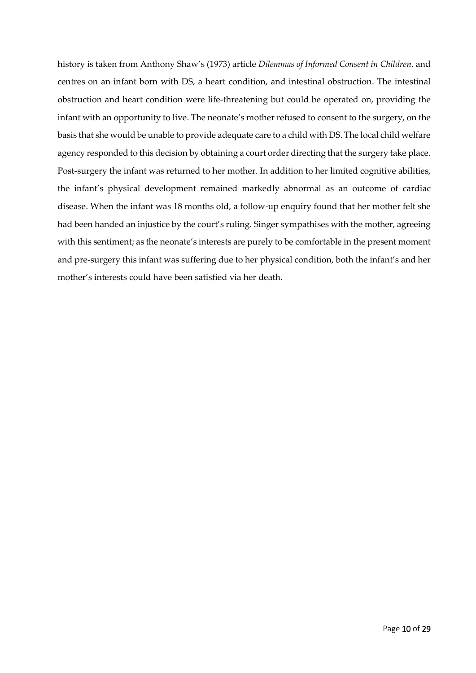history is taken from Anthony Shaw's (1973) article *Dilemmas of Informed Consent in Children*, and centres on an infant born with DS, a heart condition, and intestinal obstruction. The intestinal obstruction and heart condition were life-threatening but could be operated on, providing the infant with an opportunity to live. The neonate's mother refused to consent to the surgery, on the basis that she would be unable to provide adequate care to a child with DS. The local child welfare agency responded to this decision by obtaining a court order directing that the surgery take place. Post-surgery the infant was returned to her mother. In addition to her limited cognitive abilities, the infant's physical development remained markedly abnormal as an outcome of cardiac disease. When the infant was 18 months old, a follow-up enquiry found that her mother felt she had been handed an injustice by the court's ruling. Singer sympathises with the mother, agreeing with this sentiment; as the neonate's interests are purely to be comfortable in the present moment and pre-surgery this infant was suffering due to her physical condition, both the infant's and her mother's interests could have been satisfied via her death.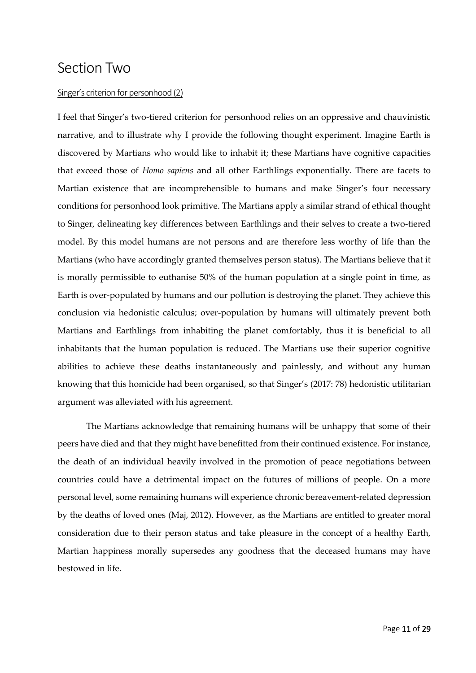### Section Two

#### Singer's criterion for personhood (2)

I feel that Singer's two-tiered criterion for personhood relies on an oppressive and chauvinistic narrative, and to illustrate why I provide the following thought experiment. Imagine Earth is discovered by Martians who would like to inhabit it; these Martians have cognitive capacities that exceed those of *Homo sapiens* and all other Earthlings exponentially. There are facets to Martian existence that are incomprehensible to humans and make Singer's four necessary conditions for personhood look primitive. The Martians apply a similar strand of ethical thought to Singer, delineating key differences between Earthlings and their selves to create a two-tiered model. By this model humans are not persons and are therefore less worthy of life than the Martians (who have accordingly granted themselves person status). The Martians believe that it is morally permissible to euthanise 50% of the human population at a single point in time, as Earth is over-populated by humans and our pollution is destroying the planet. They achieve this conclusion via hedonistic calculus; over-population by humans will ultimately prevent both Martians and Earthlings from inhabiting the planet comfortably, thus it is beneficial to all inhabitants that the human population is reduced. The Martians use their superior cognitive abilities to achieve these deaths instantaneously and painlessly, and without any human knowing that this homicide had been organised, so that Singer's (2017: 78) hedonistic utilitarian argument was alleviated with his agreement.

The Martians acknowledge that remaining humans will be unhappy that some of their peers have died and that they might have benefitted from their continued existence. For instance, the death of an individual heavily involved in the promotion of peace negotiations between countries could have a detrimental impact on the futures of millions of people. On a more personal level, some remaining humans will experience chronic bereavement-related depression by the deaths of loved ones (Maj, 2012). However, as the Martians are entitled to greater moral consideration due to their person status and take pleasure in the concept of a healthy Earth, Martian happiness morally supersedes any goodness that the deceased humans may have bestowed in life.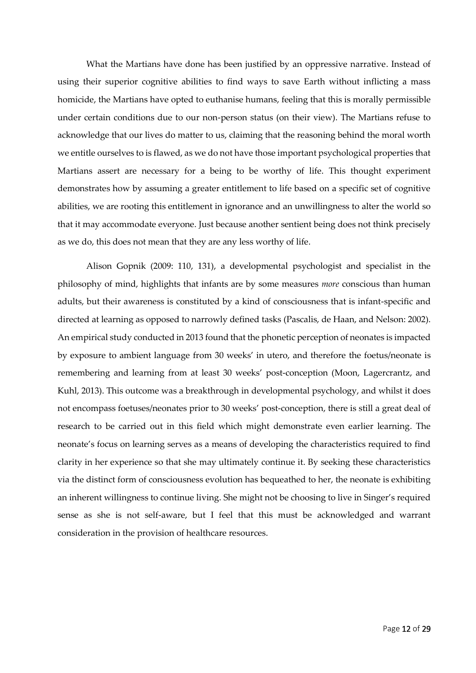What the Martians have done has been justified by an oppressive narrative. Instead of using their superior cognitive abilities to find ways to save Earth without inflicting a mass homicide, the Martians have opted to euthanise humans, feeling that this is morally permissible under certain conditions due to our non-person status (on their view). The Martians refuse to acknowledge that our lives do matter to us, claiming that the reasoning behind the moral worth we entitle ourselves to is flawed, as we do not have those important psychological properties that Martians assert are necessary for a being to be worthy of life. This thought experiment demonstrates how by assuming a greater entitlement to life based on a specific set of cognitive abilities, we are rooting this entitlement in ignorance and an unwillingness to alter the world so that it may accommodate everyone. Just because another sentient being does not think precisely as we do, this does not mean that they are any less worthy of life.

Alison Gopnik (2009: 110, 131), a developmental psychologist and specialist in the philosophy of mind, highlights that infants are by some measures *more* conscious than human adults, but their awareness is constituted by a kind of consciousness that is infant-specific and directed at learning as opposed to narrowly defined tasks (Pascalis, de Haan, and Nelson: 2002). An empirical study conducted in 2013 found that the phonetic perception of neonates is impacted by exposure to ambient language from 30 weeks' in utero, and therefore the foetus/neonate is remembering and learning from at least 30 weeks' post-conception (Moon, Lagercrantz, and Kuhl, 2013). This outcome was a breakthrough in developmental psychology, and whilst it does not encompass foetuses/neonates prior to 30 weeks' post-conception, there is still a great deal of research to be carried out in this field which might demonstrate even earlier learning. The neonate's focus on learning serves as a means of developing the characteristics required to find clarity in her experience so that she may ultimately continue it. By seeking these characteristics via the distinct form of consciousness evolution has bequeathed to her, the neonate is exhibiting an inherent willingness to continue living. She might not be choosing to live in Singer's required sense as she is not self-aware, but I feel that this must be acknowledged and warrant consideration in the provision of healthcare resources.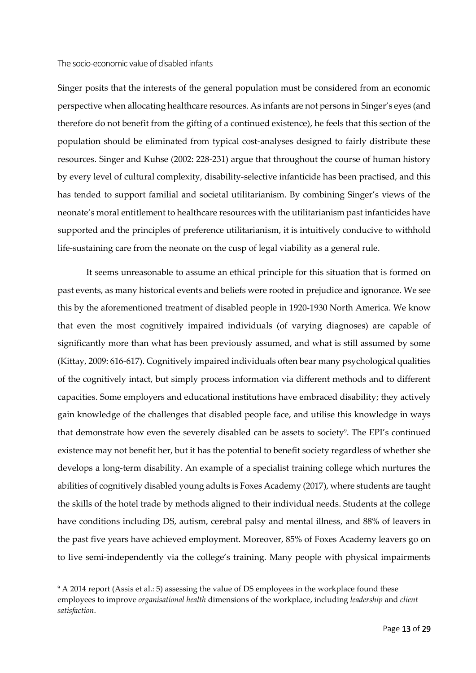#### The socio-economic value of disabled infants

**.** 

Singer posits that the interests of the general population must be considered from an economic perspective when allocating healthcare resources. As infants are not persons in Singer's eyes (and therefore do not benefit from the gifting of a continued existence), he feels that this section of the population should be eliminated from typical cost-analyses designed to fairly distribute these resources. Singer and Kuhse (2002: 228-231) argue that throughout the course of human history by every level of cultural complexity, disability-selective infanticide has been practised, and this has tended to support familial and societal utilitarianism. By combining Singer's views of the neonate's moral entitlement to healthcare resources with the utilitarianism past infanticides have supported and the principles of preference utilitarianism, it is intuitively conducive to withhold life-sustaining care from the neonate on the cusp of legal viability as a general rule.

It seems unreasonable to assume an ethical principle for this situation that is formed on past events, as many historical events and beliefs were rooted in prejudice and ignorance. We see this by the aforementioned treatment of disabled people in 1920-1930 North America. We know that even the most cognitively impaired individuals (of varying diagnoses) are capable of significantly more than what has been previously assumed, and what is still assumed by some (Kittay, 2009: 616-617). Cognitively impaired individuals often bear many psychological qualities of the cognitively intact, but simply process information via different methods and to different capacities. Some employers and educational institutions have embraced disability; they actively gain knowledge of the challenges that disabled people face, and utilise this knowledge in ways that demonstrate how even the severely disabled can be assets to society<sup>9</sup>. The EPI's continued existence may not benefit her, but it has the potential to benefit society regardless of whether she develops a long-term disability. An example of a specialist training college which nurtures the abilities of cognitively disabled young adults is Foxes Academy (2017), where students are taught the skills of the hotel trade by methods aligned to their individual needs. Students at the college have conditions including DS, autism, cerebral palsy and mental illness, and 88% of leavers in the past five years have achieved employment. Moreover, 85% of Foxes Academy leavers go on to live semi-independently via the college's training. Many people with physical impairments

<sup>&</sup>lt;sup>9</sup> A 2014 report (Assis et al.: 5) assessing the value of DS employees in the workplace found these employees to improve *organisational health* dimensions of the workplace, including *leadership* and *client satisfaction*.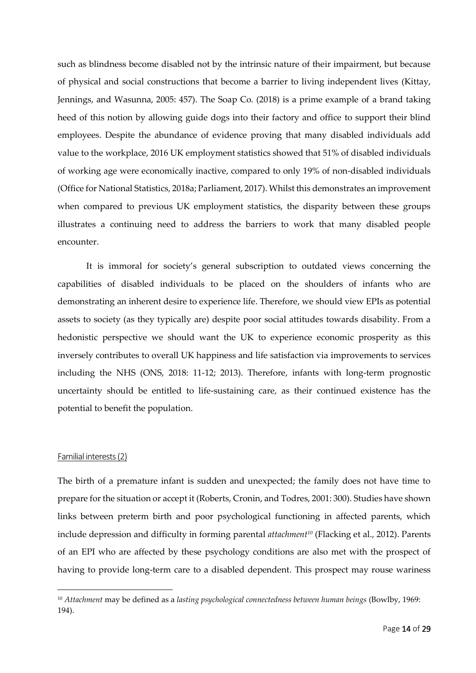such as blindness become disabled not by the intrinsic nature of their impairment, but because of physical and social constructions that become a barrier to living independent lives (Kittay, Jennings, and Wasunna, 2005: 457). The Soap Co. (2018) is a prime example of a brand taking heed of this notion by allowing guide dogs into their factory and office to support their blind employees. Despite the abundance of evidence proving that many disabled individuals add value to the workplace, 2016 UK employment statistics showed that 51% of disabled individuals of working age were economically inactive, compared to only 19% of non-disabled individuals (Office for National Statistics, 2018a; Parliament, 2017). Whilst this demonstrates an improvement when compared to previous UK employment statistics, the disparity between these groups illustrates a continuing need to address the barriers to work that many disabled people encounter.

It is immoral for society's general subscription to outdated views concerning the capabilities of disabled individuals to be placed on the shoulders of infants who are demonstrating an inherent desire to experience life. Therefore, we should view EPIs as potential assets to society (as they typically are) despite poor social attitudes towards disability. From a hedonistic perspective we should want the UK to experience economic prosperity as this inversely contributes to overall UK happiness and life satisfaction via improvements to services including the NHS (ONS, 2018: 11-12; 2013). Therefore, infants with long-term prognostic uncertainty should be entitled to life-sustaining care, as their continued existence has the potential to benefit the population.

#### Familial interests (2)

**.** 

The birth of a premature infant is sudden and unexpected; the family does not have time to prepare for the situation or accept it (Roberts, Cronin, and Todres, 2001: 300). Studies have shown links between preterm birth and poor psychological functioning in affected parents, which include depression and difficulty in forming parental *attachment<sup>10</sup>* (Flacking et al., 2012). Parents of an EPI who are affected by these psychology conditions are also met with the prospect of having to provide long-term care to a disabled dependent. This prospect may rouse wariness

<sup>10</sup> *Attachment* may be defined as a *lasting psychological connectedness between human beings* (Bowlby, 1969: 194).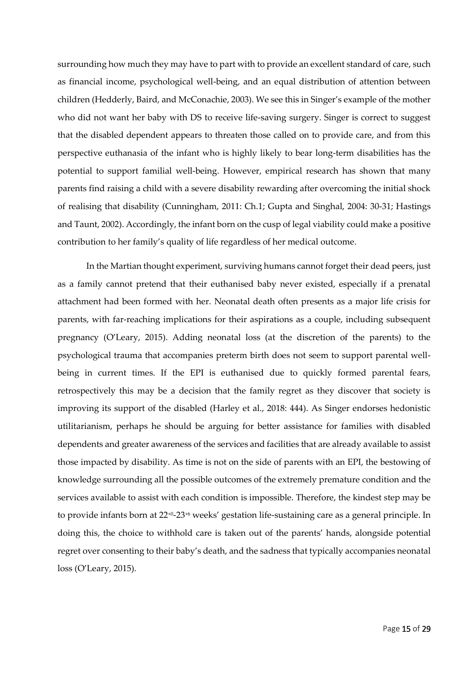surrounding how much they may have to part with to provide an excellent standard of care, such as financial income, psychological well-being, and an equal distribution of attention between children (Hedderly, Baird, and McConachie, 2003). We see this in Singer's example of the mother who did not want her baby with DS to receive life-saving surgery. Singer is correct to suggest that the disabled dependent appears to threaten those called on to provide care, and from this perspective euthanasia of the infant who is highly likely to bear long-term disabilities has the potential to support familial well-being. However, empirical research has shown that many parents find raising a child with a severe disability rewarding after overcoming the initial shock of realising that disability (Cunningham, 2011: Ch.1; Gupta and Singhal, 2004: 30-31; Hastings and Taunt, 2002). Accordingly, the infant born on the cusp of legal viability could make a positive contribution to her family's quality of life regardless of her medical outcome.

In the Martian thought experiment, surviving humans cannot forget their dead peers, just as a family cannot pretend that their euthanised baby never existed, especially if a prenatal attachment had been formed with her. Neonatal death often presents as a major life crisis for parents, with far-reaching implications for their aspirations as a couple, including subsequent pregnancy (O'Leary, 2015). Adding neonatal loss (at the discretion of the parents) to the psychological trauma that accompanies preterm birth does not seem to support parental wellbeing in current times. If the EPI is euthanised due to quickly formed parental fears, retrospectively this may be a decision that the family regret as they discover that society is improving its support of the disabled (Harley et al., 2018: 444). As Singer endorses hedonistic utilitarianism, perhaps he should be arguing for better assistance for families with disabled dependents and greater awareness of the services and facilities that are already available to assist those impacted by disability. As time is not on the side of parents with an EPI, the bestowing of knowledge surrounding all the possible outcomes of the extremely premature condition and the services available to assist with each condition is impossible. Therefore, the kindest step may be to provide infants born at  $22^{t}0-23^{t}6$  weeks' gestation life-sustaining care as a general principle. In doing this, the choice to withhold care is taken out of the parents' hands, alongside potential regret over consenting to their baby's death, and the sadness that typically accompanies neonatal loss (O'Leary, 2015).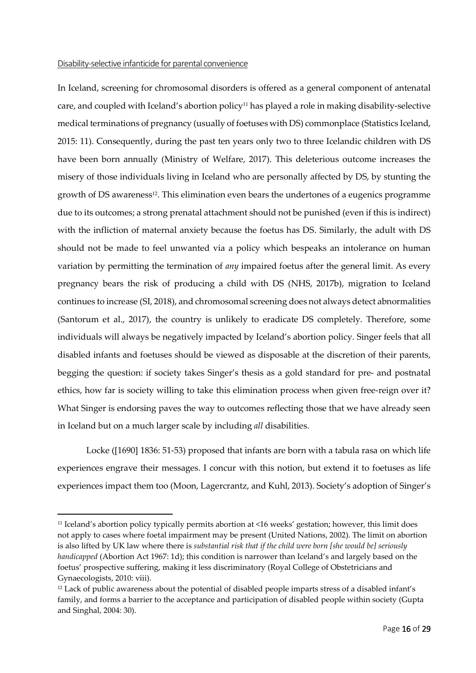#### Disability-selective infanticide for parental convenience

**.** 

In Iceland, screening for chromosomal disorders is offered as a general component of antenatal care, and coupled with Iceland's abortion policy<sup>11</sup> has played a role in making disability-selective medical terminations of pregnancy (usually of foetuses with DS) commonplace (Statistics Iceland, 2015: 11). Consequently, during the past ten years only two to three Icelandic children with DS have been born annually (Ministry of Welfare, 2017). This deleterious outcome increases the misery of those individuals living in Iceland who are personally affected by DS, by stunting the growth of DS awareness<sup>12</sup>. This elimination even bears the undertones of a eugenics programme due to its outcomes; a strong prenatal attachment should not be punished (even if this is indirect) with the infliction of maternal anxiety because the foetus has DS. Similarly, the adult with DS should not be made to feel unwanted via a policy which bespeaks an intolerance on human variation by permitting the termination of *any* impaired foetus after the general limit. As every pregnancy bears the risk of producing a child with DS (NHS, 2017b), migration to Iceland continues to increase (SI, 2018), and chromosomal screening does not always detect abnormalities (Santorum et al., 2017), the country is unlikely to eradicate DS completely. Therefore, some individuals will always be negatively impacted by Iceland's abortion policy. Singer feels that all disabled infants and foetuses should be viewed as disposable at the discretion of their parents, begging the question: if society takes Singer's thesis as a gold standard for pre- and postnatal ethics, how far is society willing to take this elimination process when given free-reign over it? What Singer is endorsing paves the way to outcomes reflecting those that we have already seen in Iceland but on a much larger scale by including *all* disabilities.

Locke ([1690] 1836: 51-53) proposed that infants are born with a tabula rasa on which life experiences engrave their messages. I concur with this notion, but extend it to foetuses as life experiences impact them too (Moon, Lagercrantz, and Kuhl, 2013). Society's adoption of Singer's

<sup>11</sup> Iceland's abortion policy typically permits abortion at <16 weeks' gestation; however, this limit does not apply to cases where foetal impairment may be present (United Nations, 2002). The limit on abortion is also lifted by UK law where there is *substantial risk that if the child were born [she would be] seriously handicapped* (Abortion Act 1967: 1d); this condition is narrower than Iceland's and largely based on the foetus' prospective suffering, making it less discriminatory (Royal College of Obstetricians and Gynaecologists, 2010: viii).

<sup>12</sup> Lack of public awareness about the potential of disabled people imparts stress of a disabled infant's family, and forms a barrier to the acceptance and participation of disabled people within society (Gupta and Singhal, 2004: 30).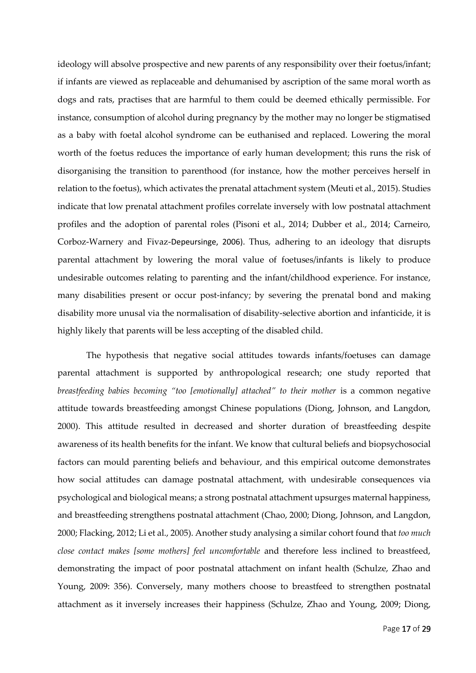ideology will absolve prospective and new parents of any responsibility over their foetus/infant; if infants are viewed as replaceable and dehumanised by ascription of the same moral worth as dogs and rats, practises that are harmful to them could be deemed ethically permissible. For instance, consumption of alcohol during pregnancy by the mother may no longer be stigmatised as a baby with foetal alcohol syndrome can be euthanised and replaced. Lowering the moral worth of the foetus reduces the importance of early human development; this runs the risk of disorganising the transition to parenthood (for instance, how the mother perceives herself in relation to the foetus), which activates the prenatal attachment system (Meuti et al., 2015). Studies indicate that low prenatal attachment profiles correlate inversely with low postnatal attachment profiles and the adoption of parental roles (Pisoni et al., 2014; Dubber et al., 2014; Carneiro, Corboz-Warnery and Fivaz-Depeursinge, 2006). Thus, adhering to an ideology that disrupts parental attachment by lowering the moral value of foetuses/infants is likely to produce undesirable outcomes relating to parenting and the infant/childhood experience. For instance, many disabilities present or occur post-infancy; by severing the prenatal bond and making disability more unusal via the normalisation of disability-selective abortion and infanticide, it is highly likely that parents will be less accepting of the disabled child.

The hypothesis that negative social attitudes towards infants/foetuses can damage parental attachment is supported by anthropological research; one study reported that *breastfeeding babies becoming "too [emotionally] attached" to their mother* is a common negative attitude towards breastfeeding amongst Chinese populations (Diong, Johnson, and Langdon, 2000). This attitude resulted in decreased and shorter duration of breastfeeding despite awareness of its health benefits for the infant. We know that cultural beliefs and biopsychosocial factors can mould parenting beliefs and behaviour, and this empirical outcome demonstrates how social attitudes can damage postnatal attachment, with undesirable consequences via psychological and biological means; a strong postnatal attachment upsurges maternal happiness, and breastfeeding strengthens postnatal attachment (Chao, 2000; Diong, Johnson, and Langdon, 2000; Flacking, 2012; Li et al., 2005). Another study analysing a similar cohort found that *too much close contact makes [some mothers] feel uncomfortable* and therefore less inclined to breastfeed, demonstrating the impact of poor postnatal attachment on infant health (Schulze, Zhao and Young, 2009: 356). Conversely, many mothers choose to breastfeed to strengthen postnatal attachment as it inversely increases their happiness (Schulze, Zhao and Young, 2009; Diong,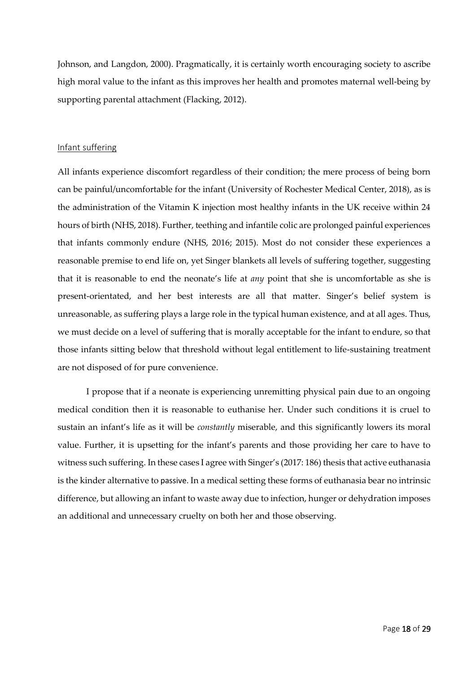Johnson, and Langdon, 2000). Pragmatically, it is certainly worth encouraging society to ascribe high moral value to the infant as this improves her health and promotes maternal well-being by supporting parental attachment (Flacking, 2012).

#### Infant suffering

All infants experience discomfort regardless of their condition; the mere process of being born can be painful/uncomfortable for the infant (University of Rochester Medical Center, 2018), as is the administration of the Vitamin K injection most healthy infants in the UK receive within 24 hours of birth (NHS, 2018). Further, teething and infantile colic are prolonged painful experiences that infants commonly endure (NHS, 2016; 2015). Most do not consider these experiences a reasonable premise to end life on, yet Singer blankets all levels of suffering together, suggesting that it is reasonable to end the neonate's life at *any* point that she is uncomfortable as she is present-orientated, and her best interests are all that matter. Singer's belief system is unreasonable, as suffering plays a large role in the typical human existence, and at all ages. Thus, we must decide on a level of suffering that is morally acceptable for the infant to endure, so that those infants sitting below that threshold without legal entitlement to life-sustaining treatment are not disposed of for pure convenience.

I propose that if a neonate is experiencing unremitting physical pain due to an ongoing medical condition then it is reasonable to euthanise her. Under such conditions it is cruel to sustain an infant's life as it will be *constantly* miserable, and this significantly lowers its moral value. Further, it is upsetting for the infant's parents and those providing her care to have to witness such suffering. In these cases I agree with Singer's (2017: 186) thesis that active euthanasia is the kinder alternative to passive. In a medical setting these forms of euthanasia bear no intrinsic difference, but allowing an infant to waste away due to infection, hunger or dehydration imposes an additional and unnecessary cruelty on both her and those observing.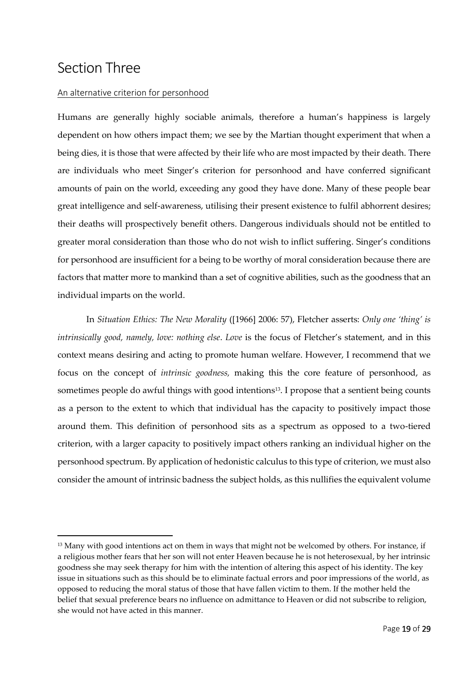### Section Three

**.** 

#### An alternative criterion for personhood

Humans are generally highly sociable animals, therefore a human's happiness is largely dependent on how others impact them; we see by the Martian thought experiment that when a being dies, it is those that were affected by their life who are most impacted by their death. There are individuals who meet Singer's criterion for personhood and have conferred significant amounts of pain on the world, exceeding any good they have done. Many of these people bear great intelligence and self-awareness, utilising their present existence to fulfil abhorrent desires; their deaths will prospectively benefit others. Dangerous individuals should not be entitled to greater moral consideration than those who do not wish to inflict suffering. Singer's conditions for personhood are insufficient for a being to be worthy of moral consideration because there are factors that matter more to mankind than a set of cognitive abilities, such as the goodness that an individual imparts on the world.

In *Situation Ethics: The New Morality* ([1966] 2006: 57), Fletcher asserts: *Only one 'thing' is intrinsically good, namely, love: nothing else*. *Love* is the focus of Fletcher's statement, and in this context means desiring and acting to promote human welfare. However, I recommend that we focus on the concept of *intrinsic goodness,* making this the core feature of personhood, as sometimes people do awful things with good intentions<sup>13</sup>. I propose that a sentient being counts as a person to the extent to which that individual has the capacity to positively impact those around them. This definition of personhood sits as a spectrum as opposed to a two-tiered criterion, with a larger capacity to positively impact others ranking an individual higher on the personhood spectrum. By application of hedonistic calculus to this type of criterion, we must also consider the amount of intrinsic badness the subject holds, as this nullifies the equivalent volume

<sup>&</sup>lt;sup>13</sup> Many with good intentions act on them in ways that might not be welcomed by others. For instance, if a religious mother fears that her son will not enter Heaven because he is not heterosexual, by her intrinsic goodness she may seek therapy for him with the intention of altering this aspect of his identity. The key issue in situations such as this should be to eliminate factual errors and poor impressions of the world, as opposed to reducing the moral status of those that have fallen victim to them. If the mother held the belief that sexual preference bears no influence on admittance to Heaven or did not subscribe to religion, she would not have acted in this manner.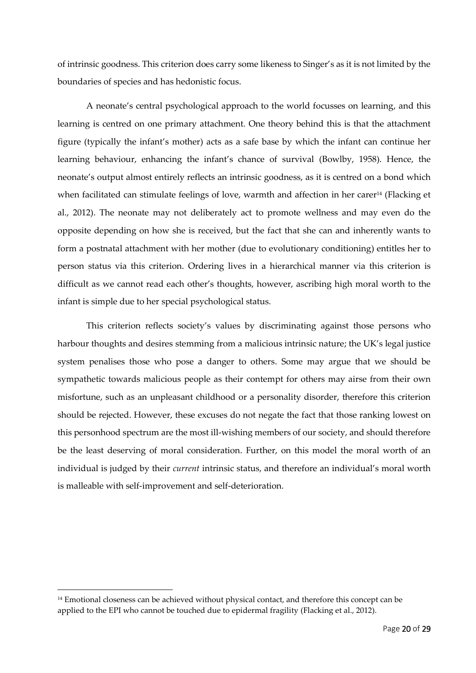of intrinsic goodness. This criterion does carry some likeness to Singer's as it is not limited by the boundaries of species and has hedonistic focus.

A neonate's central psychological approach to the world focusses on learning, and this learning is centred on one primary attachment. One theory behind this is that the attachment figure (typically the infant's mother) acts as a safe base by which the infant can continue her learning behaviour, enhancing the infant's chance of survival (Bowlby, 1958). Hence, the neonate's output almost entirely reflects an intrinsic goodness, as it is centred on a bond which when facilitated can stimulate feelings of love, warmth and affection in her carer<sup>14</sup> (Flacking et al., 2012). The neonate may not deliberately act to promote wellness and may even do the opposite depending on how she is received, but the fact that she can and inherently wants to form a postnatal attachment with her mother (due to evolutionary conditioning) entitles her to person status via this criterion. Ordering lives in a hierarchical manner via this criterion is difficult as we cannot read each other's thoughts, however, ascribing high moral worth to the infant is simple due to her special psychological status.

This criterion reflects society's values by discriminating against those persons who harbour thoughts and desires stemming from a malicious intrinsic nature; the UK's legal justice system penalises those who pose a danger to others. Some may argue that we should be sympathetic towards malicious people as their contempt for others may airse from their own misfortune, such as an unpleasant childhood or a personality disorder, therefore this criterion should be rejected. However, these excuses do not negate the fact that those ranking lowest on this personhood spectrum are the most ill-wishing members of our society, and should therefore be the least deserving of moral consideration. Further, on this model the moral worth of an individual is judged by their *current* intrinsic status, and therefore an individual's moral worth is malleable with self-improvement and self-deterioration.

**.** 

<sup>&</sup>lt;sup>14</sup> Emotional closeness can be achieved without physical contact, and therefore this concept can be applied to the EPI who cannot be touched due to epidermal fragility (Flacking et al., 2012).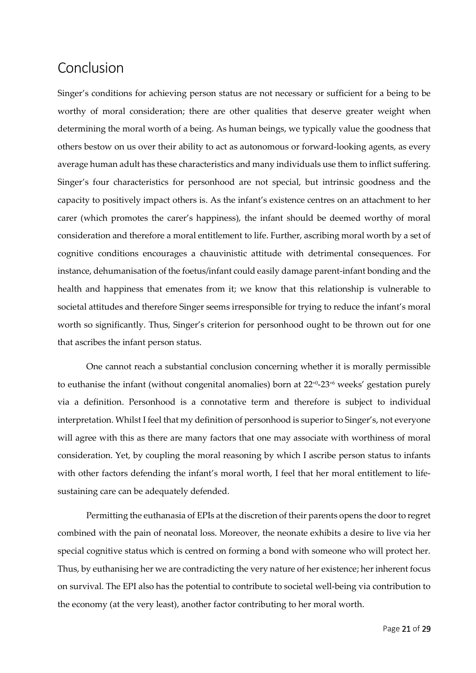### Conclusion

Singer's conditions for achieving person status are not necessary or sufficient for a being to be worthy of moral consideration; there are other qualities that deserve greater weight when determining the moral worth of a being. As human beings, we typically value the goodness that others bestow on us over their ability to act as autonomous or forward-looking agents, as every average human adult has these characteristics and many individuals use them to inflict suffering. Singer's four characteristics for personhood are not special, but intrinsic goodness and the capacity to positively impact others is. As the infant's existence centres on an attachment to her carer (which promotes the carer's happiness), the infant should be deemed worthy of moral consideration and therefore a moral entitlement to life. Further, ascribing moral worth by a set of cognitive conditions encourages a chauvinistic attitude with detrimental consequences. For instance, dehumanisation of the foetus/infant could easily damage parent-infant bonding and the health and happiness that emenates from it; we know that this relationship is vulnerable to societal attitudes and therefore Singer seems irresponsible for trying to reduce the infant's moral worth so significantly. Thus, Singer's criterion for personhood ought to be thrown out for one that ascribes the infant person status.

One cannot reach a substantial conclusion concerning whether it is morally permissible to euthanise the infant (without congenital anomalies) born at 22+0-23 +6 weeks' gestation purely via a definition. Personhood is a connotative term and therefore is subject to individual interpretation. Whilst I feel that my definition of personhood is superior to Singer's, not everyone will agree with this as there are many factors that one may associate with worthiness of moral consideration. Yet, by coupling the moral reasoning by which I ascribe person status to infants with other factors defending the infant's moral worth, I feel that her moral entitlement to lifesustaining care can be adequately defended.

Permitting the euthanasia of EPIs at the discretion of their parents opens the door to regret combined with the pain of neonatal loss. Moreover, the neonate exhibits a desire to live via her special cognitive status which is centred on forming a bond with someone who will protect her. Thus, by euthanising her we are contradicting the very nature of her existence; her inherent focus on survival. The EPI also has the potential to contribute to societal well-being via contribution to the economy (at the very least), another factor contributing to her moral worth.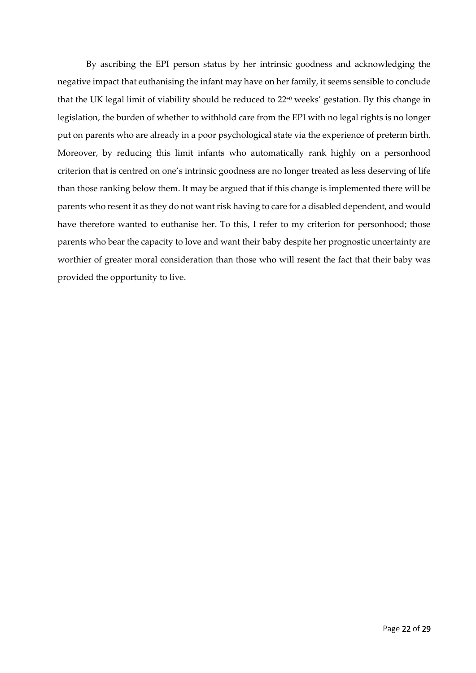By ascribing the EPI person status by her intrinsic goodness and acknowledging the negative impact that euthanising the infant may have on her family, it seems sensible to conclude that the UK legal limit of viability should be reduced to 22+0 weeks' gestation. By this change in legislation, the burden of whether to withhold care from the EPI with no legal rights is no longer put on parents who are already in a poor psychological state via the experience of preterm birth. Moreover, by reducing this limit infants who automatically rank highly on a personhood criterion that is centred on one's intrinsic goodness are no longer treated as less deserving of life than those ranking below them. It may be argued that if this change is implemented there will be parents who resent it as they do not want risk having to care for a disabled dependent, and would have therefore wanted to euthanise her. To this, I refer to my criterion for personhood; those parents who bear the capacity to love and want their baby despite her prognostic uncertainty are worthier of greater moral consideration than those who will resent the fact that their baby was provided the opportunity to live.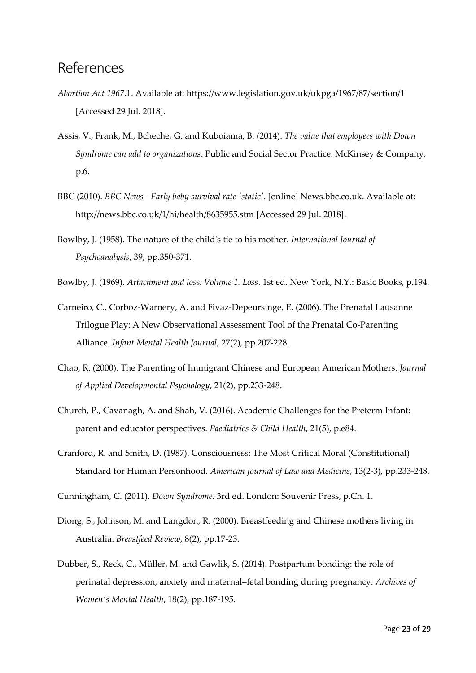### References

- *Abortion Act 1967*.1. Available at: https://www.legislation.gov.uk/ukpga/1967/87/section/1 [Accessed 29 Jul. 2018].
- Assis, V., Frank, M., Bcheche, G. and Kuboiama, B. (2014). *The value that employees with Down Syndrome can add to organizations*. Public and Social Sector Practice. McKinsey & Company, p.6.
- BBC (2010). *BBC News - Early baby survival rate 'static'*. [online] News.bbc.co.uk. Available at: http://news.bbc.co.uk/1/hi/health/8635955.stm [Accessed 29 Jul. 2018].
- Bowlby, J. (1958). The nature of the child's tie to his mother. *International Journal of Psychoanalysis*, 39, pp.350-371.
- Bowlby, J. (1969). *Attachment and loss: Volume 1. Loss*. 1st ed. New York, N.Y.: Basic Books, p.194.
- Carneiro, C., Corboz-Warnery, A. and Fivaz-Depeursinge, E. (2006). The Prenatal Lausanne Trilogue Play: A New Observational Assessment Tool of the Prenatal Co-Parenting Alliance. *Infant Mental Health Journal*, 27(2), pp.207-228.
- Chao, R. (2000). The Parenting of Immigrant Chinese and European American Mothers. *Journal of Applied Developmental Psychology*, 21(2), pp.233-248.
- Church, P., Cavanagh, A. and Shah, V. (2016). Academic Challenges for the Preterm Infant: parent and educator perspectives. *Paediatrics & Child Health*, 21(5), p.e84.
- Cranford, R. and Smith, D. (1987). Consciousness: The Most Critical Moral (Constitutional) Standard for Human Personhood. *American Journal of Law and Medicine*, 13(2-3), pp.233-248.
- Cunningham, C. (2011). *Down Syndrome*. 3rd ed. London: Souvenir Press, p.Ch. 1.
- Diong, S., Johnson, M. and Langdon, R. (2000). Breastfeeding and Chinese mothers living in Australia. *Breastfeed Review*, 8(2), pp.17-23.
- Dubber, S., Reck, C., Müller, M. and Gawlik, S. (2014). Postpartum bonding: the role of perinatal depression, anxiety and maternal–fetal bonding during pregnancy. *Archives of Women's Mental Health*, 18(2), pp.187-195.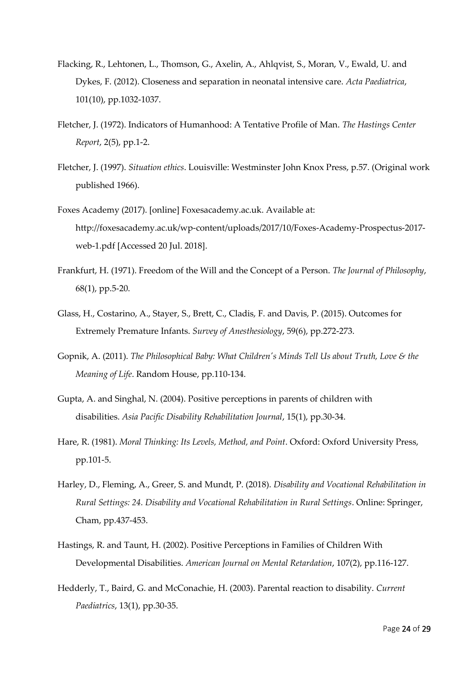- Flacking, R., Lehtonen, L., Thomson, G., Axelin, A., Ahlqvist, S., Moran, V., Ewald, U. and Dykes, F. (2012). Closeness and separation in neonatal intensive care. *Acta Paediatrica*, 101(10), pp.1032-1037.
- Fletcher, J. (1972). Indicators of Humanhood: A Tentative Profile of Man. *The Hastings Center Report*, 2(5), pp.1-2.
- Fletcher, J. (1997). *Situation ethics*. Louisville: Westminster John Knox Press, p.57. (Original work published 1966).
- Foxes Academy (2017). [online] Foxesacademy.ac.uk. Available at: http://foxesacademy.ac.uk/wp-content/uploads/2017/10/Foxes-Academy-Prospectus-2017 web-1.pdf [Accessed 20 Jul. 2018].
- Frankfurt, H. (1971). Freedom of the Will and the Concept of a Person. *The Journal of Philosophy*, 68(1), pp.5-20.
- Glass, H., Costarino, A., Stayer, S., Brett, C., Cladis, F. and Davis, P. (2015). Outcomes for Extremely Premature Infants. *Survey of Anesthesiology*, 59(6), pp.272-273.
- Gopnik, A. (2011). *The Philosophical Baby: What Children's Minds Tell Us about Truth, Love & the Meaning of Life*. Random House, pp.110-134.
- Gupta, A. and Singhal, N. (2004). Positive perceptions in parents of children with disabilities. *Asia Pacific Disability Rehabilitation Journal*, 15(1), pp.30-34.
- Hare, R. (1981). *Moral Thinking: Its Levels, Method, and Point*. Oxford: Oxford University Press, pp.101-5.
- Harley, D., Fleming, A., Greer, S. and Mundt, P. (2018). *Disability and Vocational Rehabilitation in Rural Settings: 24. Disability and Vocational Rehabilitation in Rural Settings*. Online: Springer, Cham, pp.437-453.
- Hastings, R. and Taunt, H. (2002). Positive Perceptions in Families of Children With Developmental Disabilities. *American Journal on Mental Retardation*, 107(2), pp.116-127.
- Hedderly, T., Baird, G. and McConachie, H. (2003). Parental reaction to disability. *Current Paediatrics*, 13(1), pp.30-35.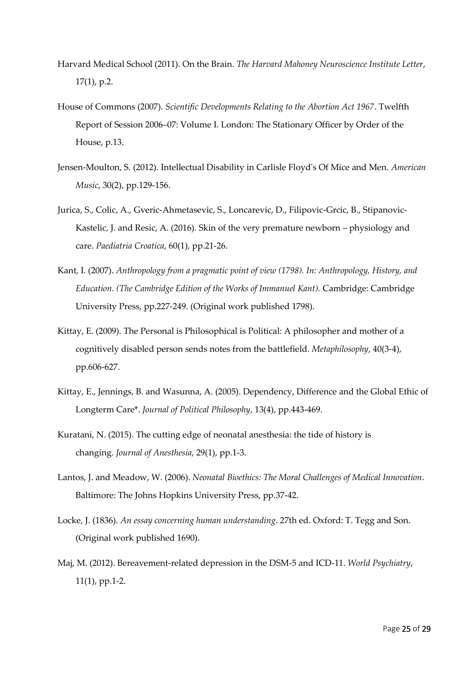- Harvard Medical School (2011). On the Brain. *The Harvard Mahoney Neuroscience Institute Letter*, 17(1), p.2.
- House of Commons (2007). *Scientific Developments Relating to the Abortion Act 1967*. Twelfth Report of Session 2006–07: Volume I. London: The Stationary Officer by Order of the House, p.13.
- Jensen-Moulton, S. (2012). Intellectual Disability in Carlisle Floyd's Of Mice and Men. *American Music*, 30(2), pp.129-156.
- Jurica, S., Colic, A., Gveric-Ahmetasevic, S., Loncarevic, D., Filipovic-Grcic, B., Stipanovic-Kastelic, J. and Resic, A. (2016). Skin of the very premature newborn – physiology and care. *Paediatria Croatica*, 60(1), pp.21-26.
- Kant, I. (2007). *Anthropology from a pragmatic point of view (1798). In: Anthropology, History, and Education. (The Cambridge Edition of the Works of Immanuel Kant).* Cambridge: Cambridge University Press, pp.227-249. (Original work published 1798).
- Kittay, E. (2009). The Personal is Philosophical is Political: A philosopher and mother of a cognitively disabled person sends notes from the battlefield. *Metaphilosophy*, 40(3-4), pp.606-627.
- Kittay, E., Jennings, B. and Wasunna, A. (2005). Dependency, Difference and the Global Ethic of Longterm Care\*. *Journal of Political Philosophy*, 13(4), pp.443-469.
- Kuratani, N. (2015). The cutting edge of neonatal anesthesia: the tide of history is changing. *Journal of Anesthesia*, 29(1), pp.1-3.
- Lantos, J. and Meadow, W. (2006). *Neonatal Bioethics: The Moral Challenges of Medical Innovation*. Baltimore: The Johns Hopkins University Press, pp.37-42.
- Locke, J. (1836). *An essay concerning human understanding*. 27th ed. Oxford: T. Tegg and Son. (Original work published 1690).
- Maj, M. (2012). Bereavement-related depression in the DSM-5 and ICD-11. *World Psychiatry*, 11(1), pp.1-2.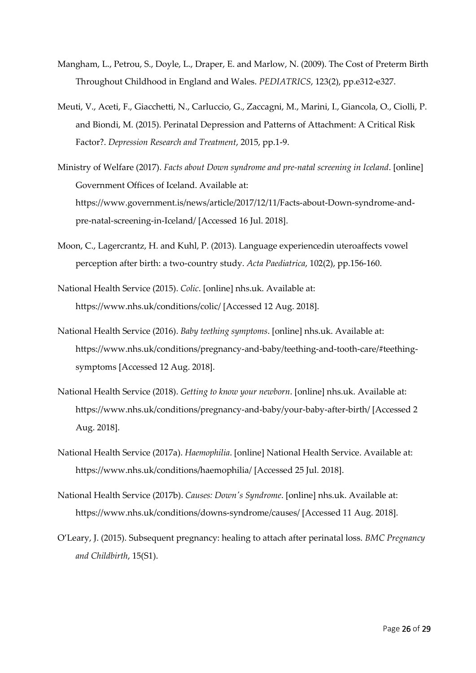- Mangham, L., Petrou, S., Doyle, L., Draper, E. and Marlow, N. (2009). The Cost of Preterm Birth Throughout Childhood in England and Wales. *PEDIATRICS*, 123(2), pp.e312-e327.
- Meuti, V., Aceti, F., Giacchetti, N., Carluccio, G., Zaccagni, M., Marini, I., Giancola, O., Ciolli, P. and Biondi, M. (2015). Perinatal Depression and Patterns of Attachment: A Critical Risk Factor?. *Depression Research and Treatment*, 2015, pp.1-9.
- Ministry of Welfare (2017). *Facts about Down syndrome and pre-natal screening in Iceland*. [online] Government Offices of Iceland. Available at: https://www.government.is/news/article/2017/12/11/Facts-about-Down-syndrome-andpre-natal-screening-in-Iceland/ [Accessed 16 Jul. 2018].
- Moon, C., Lagercrantz, H. and Kuhl, P. (2013). Language experiencedin uteroaffects vowel perception after birth: a two-country study. *Acta Paediatrica*, 102(2), pp.156-160.
- National Health Service (2015). *Colic*. [online] nhs.uk. Available at: https://www.nhs.uk/conditions/colic/ [Accessed 12 Aug. 2018].
- National Health Service (2016). *Baby teething symptoms*. [online] nhs.uk. Available at: https://www.nhs.uk/conditions/pregnancy-and-baby/teething-and-tooth-care/#teethingsymptoms [Accessed 12 Aug. 2018].
- National Health Service (2018). *Getting to know your newborn*. [online] nhs.uk. Available at: https://www.nhs.uk/conditions/pregnancy-and-baby/your-baby-after-birth/ [Accessed 2 Aug. 2018].
- National Health Service (2017a). *Haemophilia*. [online] National Health Service. Available at: https://www.nhs.uk/conditions/haemophilia/ [Accessed 25 Jul. 2018].
- National Health Service (2017b). *Causes: Down's Syndrome*. [online] nhs.uk. Available at: https://www.nhs.uk/conditions/downs-syndrome/causes/ [Accessed 11 Aug. 2018].
- O'Leary, J. (2015). Subsequent pregnancy: healing to attach after perinatal loss. *BMC Pregnancy and Childbirth*, 15(S1).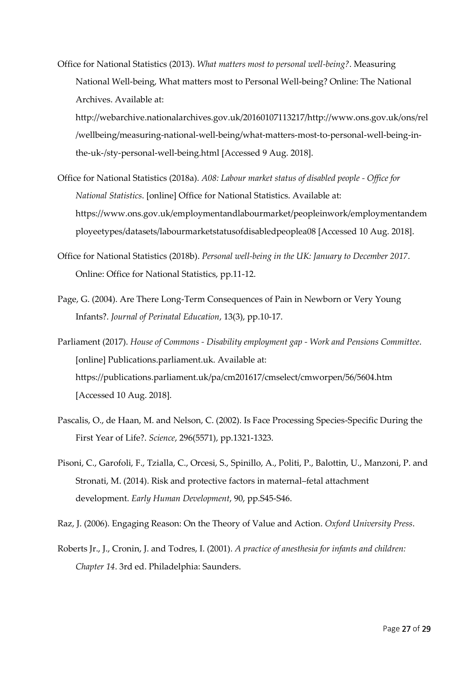Office for National Statistics (2013). *What matters most to personal well-being?*. Measuring National Well-being, What matters most to Personal Well-being? Online: The National Archives. Available at:

http://webarchive.nationalarchives.gov.uk/20160107113217/http://www.ons.gov.uk/ons/rel /wellbeing/measuring-national-well-being/what-matters-most-to-personal-well-being-inthe-uk-/sty-personal-well-being.html [Accessed 9 Aug. 2018].

- Office for National Statistics (2018a). *A08: Labour market status of disabled people - Office for National Statistics*. [online] Office for National Statistics. Available at: https://www.ons.gov.uk/employmentandlabourmarket/peopleinwork/employmentandem ployeetypes/datasets/labourmarketstatusofdisabledpeoplea08 [Accessed 10 Aug. 2018].
- Office for National Statistics (2018b). *Personal well-being in the UK: January to December 2017*. Online: Office for National Statistics, pp.11-12.
- Page, G. (2004). Are There Long-Term Consequences of Pain in Newborn or Very Young Infants?. *Journal of Perinatal Education*, 13(3), pp.10-17.
- Parliament (2017). *House of Commons - Disability employment gap - Work and Pensions Committee*. [online] Publications.parliament.uk. Available at: https://publications.parliament.uk/pa/cm201617/cmselect/cmworpen/56/5604.htm [Accessed 10 Aug. 2018].
- Pascalis, O., de Haan, M. and Nelson, C. (2002). Is Face Processing Species-Specific During the First Year of Life?. *Science*, 296(5571), pp.1321-1323.
- Pisoni, C., Garofoli, F., Tzialla, C., Orcesi, S., Spinillo, A., Politi, P., Balottin, U., Manzoni, P. and Stronati, M. (2014). Risk and protective factors in maternal–fetal attachment development. *Early Human Development*, 90, pp.S45-S46.

Raz, J. (2006). Engaging Reason: On the Theory of Value and Action. *Oxford University Press*.

Roberts Jr., J., Cronin, J. and Todres, I. (2001). *A practice of anesthesia for infants and children: Chapter 14*. 3rd ed. Philadelphia: Saunders.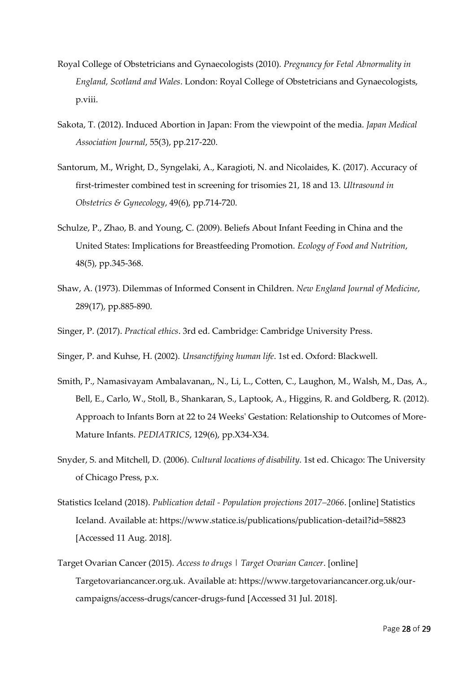- Royal College of Obstetricians and Gynaecologists (2010). *Pregnancy for Fetal Abnormality in England, Scotland and Wales*. London: Royal College of Obstetricians and Gynaecologists, p.viii.
- Sakota, T. (2012). Induced Abortion in Japan: From the viewpoint of the media. *Japan Medical Association Journal*, 55(3), pp.217-220.
- Santorum, M., Wright, D., Syngelaki, A., Karagioti, N. and Nicolaides, K. (2017). Accuracy of first-trimester combined test in screening for trisomies 21, 18 and 13. *Ultrasound in Obstetrics & Gynecology*, 49(6), pp.714-720.
- Schulze, P., Zhao, B. and Young, C. (2009). Beliefs About Infant Feeding in China and the United States: Implications for Breastfeeding Promotion. *Ecology of Food and Nutrition*, 48(5), pp.345-368.
- Shaw, A. (1973). Dilemmas of Informed Consent in Children. *New England Journal of Medicine*, 289(17), pp.885-890.
- Singer, P. (2017). *Practical ethics*. 3rd ed. Cambridge: Cambridge University Press.
- Singer, P. and Kuhse, H. (2002). *Unsanctifying human life*. 1st ed. Oxford: Blackwell.
- Smith, P., Namasivayam Ambalavanan,, N., Li, L., Cotten, C., Laughon, M., Walsh, M., Das, A., Bell, E., Carlo, W., Stoll, B., Shankaran, S., Laptook, A., Higgins, R. and Goldberg, R. (2012). Approach to Infants Born at 22 to 24 Weeks' Gestation: Relationship to Outcomes of More-Mature Infants. *PEDIATRICS*, 129(6), pp.X34-X34.
- Snyder, S. and Mitchell, D. (2006). *Cultural locations of disability*. 1st ed. Chicago: The University of Chicago Press, p.x.
- Statistics Iceland (2018). *Publication detail - Population projections 2017–2066*. [online] Statistics Iceland. Available at: https://www.statice.is/publications/publication-detail?id=58823 [Accessed 11 Aug. 2018].
- Target Ovarian Cancer (2015). *Access to drugs | Target Ovarian Cancer*. [online] Targetovariancancer.org.uk. Available at: https://www.targetovariancancer.org.uk/ourcampaigns/access-drugs/cancer-drugs-fund [Accessed 31 Jul. 2018].